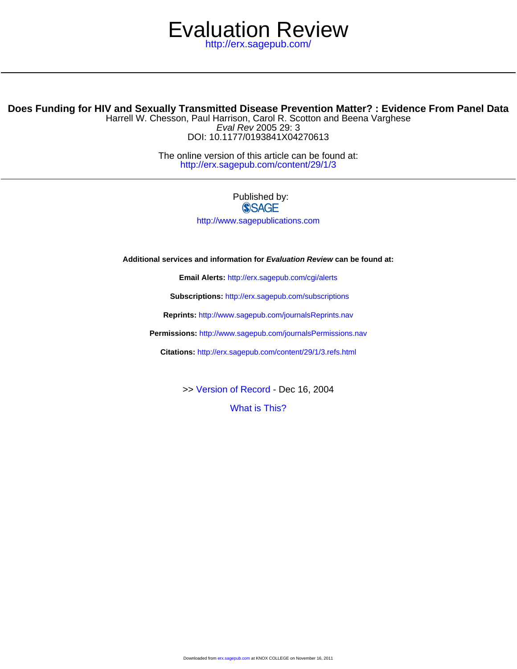# <http://erx.sagepub.com/> Evaluation Review

# **Does Funding for HIV and Sexually Transmitted Disease Prevention Matter? : Evidence From Panel Data**

DOI: 10.1177/0193841X04270613 Eval Rev 2005 29: 3 Harrell W. Chesson, Paul Harrison, Carol R. Scotton and Beena Varghese

> <http://erx.sagepub.com/content/29/1/3> The online version of this article can be found at:

# Published by: **SSAGE**

<http://www.sagepublications.com>

**Additional services and information for Evaluation Review can be found at:**

**Email Alerts:** <http://erx.sagepub.com/cgi/alerts>

**Subscriptions:** <http://erx.sagepub.com/subscriptions>

**Reprints:** <http://www.sagepub.com/journalsReprints.nav>

**Permissions:** <http://www.sagepub.com/journalsPermissions.nav>

**Citations:** <http://erx.sagepub.com/content/29/1/3.refs.html>

>> [Version of Record -](http://erx.sagepub.com/content/29/1/3.full.pdf) Dec 16, 2004

[What is This?](http://online.sagepub.com/site/sphelp/vorhelp.xhtml)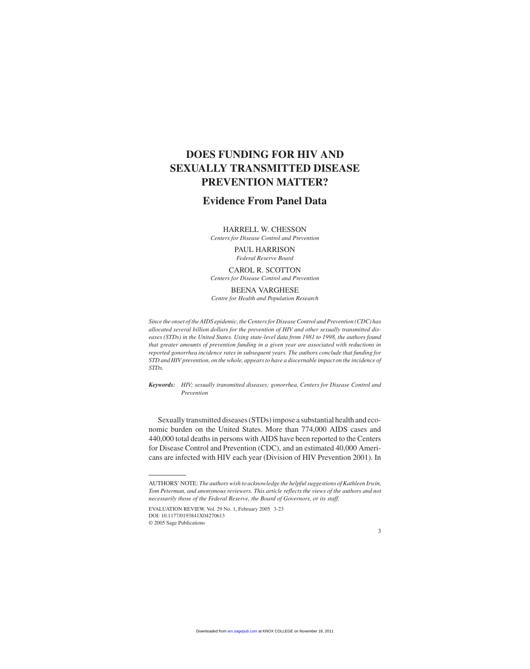# **DOES FUNDING FOR HIV AND SEXUALLY TRANSMITTED DISEASE PREVENTION MATTER?**

# **Evidence From Panel Data**

HARRELL W. CHESSON

*Centers for Disease Control and Prevention*

PAUL HARRISON *Federal Reserve Board*

CAROL R. SCOTTON *Centers for Disease Control and Prevention*

BEENA VARGHESE

*Centre for Health and Population Research*

*Since the onset of the AIDS epidemic, the Centers for Disease Control and Prevention (CDC) has allocated several billion dollars for the prevention of HIV and other sexually transmitted diseases (STDs) in the United States. Using state-level data from 1981 to 1998, the authors found that greater amounts of prevention funding in a given year are associated with reductions in reported gonorrhea incidence rates in subsequent years. The authors conclude that funding for STD and HIV prevention, on the whole, appears to have a discernable impact on the incidence of STDs.*

*Keywords: HIV; sexually transmitted diseases; gonorrhea, Centers for Disease Control and Prevention*

Sexually transmitted diseases (STDs) impose a substantial health and economic burden on the United States. More than 774,000 AIDS cases and 440,000 total deaths in persons with AIDS have been reported to the Centers for Disease Control and Prevention (CDC), and an estimated 40,000 Americans are infected with HIV each year (Division of HIV Prevention 2001). In

AUTHORS'NOTE: *The authors wish to acknowledge the helpful suggestions of Kathleen Irwin, Tom Peterman, and anonymous reviewers. This article reflects the views of the authors and not necessarily those of the Federal Reserve, the Board of Governors, or its staff.*

EVALUATION REVIEW, Vol. 29 No. 1, February 2005 3-23 DOI: 10.1177/0193841X04270613 © 2005 Sage Publications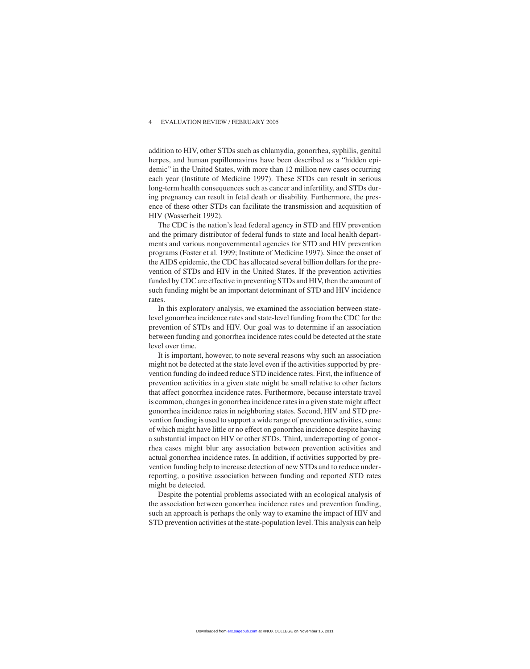#### 4 EVALUATION REVIEW / FEBRUARY 2005

addition to HIV, other STDs such as chlamydia, gonorrhea, syphilis, genital herpes, and human papillomavirus have been described as a "hidden epidemic" in the United States, with more than 12 million new cases occurring each year (Institute of Medicine 1997). These STDs can result in serious long-term health consequences such as cancer and infertility, and STDs during pregnancy can result in fetal death or disability. Furthermore, the presence of these other STDs can facilitate the transmission and acquisition of HIV (Wasserheit 1992).

The CDC is the nation's lead federal agency in STD and HIV prevention and the primary distributor of federal funds to state and local health departments and various nongovernmental agencies for STD and HIV prevention programs (Foster et al. 1999; Institute of Medicine 1997). Since the onset of the AIDS epidemic, the CDC has allocated several billion dollars for the prevention of STDs and HIV in the United States. If the prevention activities funded by CDC are effective in preventing STDs and HIV, then the amount of such funding might be an important determinant of STD and HIV incidence rates.

In this exploratory analysis, we examined the association between statelevel gonorrhea incidence rates and state-level funding from the CDC for the prevention of STDs and HIV. Our goal was to determine if an association between funding and gonorrhea incidence rates could be detected at the state level over time.

It is important, however, to note several reasons why such an association might not be detected at the state level even if the activities supported by prevention funding do indeed reduce STD incidence rates. First, the influence of prevention activities in a given state might be small relative to other factors that affect gonorrhea incidence rates. Furthermore, because interstate travel is common, changes in gonorrhea incidence rates in a given state might affect gonorrhea incidence rates in neighboring states. Second, HIV and STD prevention funding is used to support a wide range of prevention activities, some of which might have little or no effect on gonorrhea incidence despite having a substantial impact on HIV or other STDs. Third, underreporting of gonorrhea cases might blur any association between prevention activities and actual gonorrhea incidence rates. In addition, if activities supported by prevention funding help to increase detection of new STDs and to reduce underreporting, a positive association between funding and reported STD rates might be detected.

Despite the potential problems associated with an ecological analysis of the association between gonorrhea incidence rates and prevention funding, such an approach is perhaps the only way to examine the impact of HIV and STD prevention activities at the state-population level. This analysis can help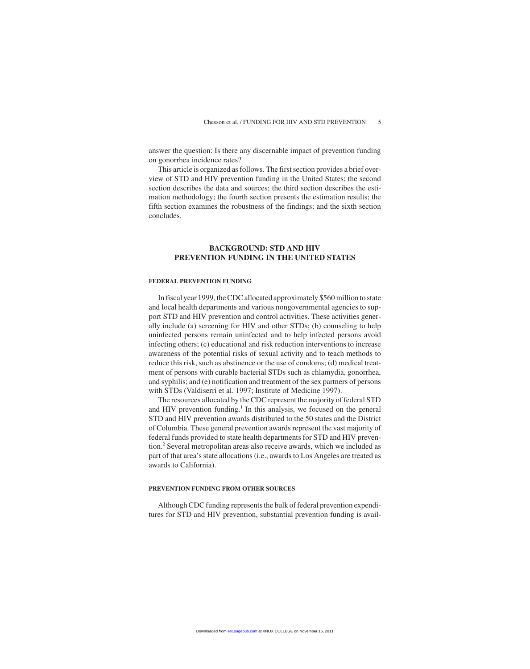answer the question: Is there any discernable impact of prevention funding on gonorrhea incidence rates?

This article is organized as follows. The first section provides a brief overview of STD and HIV prevention funding in the United States; the second section describes the data and sources; the third section describes the estimation methodology; the fourth section presents the estimation results; the fifth section examines the robustness of the findings; and the sixth section concludes.

# **BACKGROUND: STD AND HIV PREVENTION FUNDING IN THE UNITED STATES**

#### **FEDERAL PREVENTION FUNDING**

In fiscal year 1999, the CDC allocated approximately \$560 million to state and local health departments and various nongovernmental agencies to support STD and HIV prevention and control activities. These activities generally include (a) screening for HIV and other STDs; (b) counseling to help uninfected persons remain uninfected and to help infected persons avoid infecting others; (c) educational and risk reduction interventions to increase awareness of the potential risks of sexual activity and to teach methods to reduce this risk, such as abstinence or the use of condoms; (d) medical treatment of persons with curable bacterial STDs such as chlamydia, gonorrhea, and syphilis; and (e) notification and treatment of the sex partners of persons with STDs (Valdiserri et al. 1997; Institute of Medicine 1997).

The resources allocated by the CDC represent the majority of federal STD and HIV prevention funding.<sup>1</sup> In this analysis, we focused on the general STD and HIV prevention awards distributed to the 50 states and the District of Columbia. These general prevention awards represent the vast majority of federal funds provided to state health departments for STD and HIV prevention.2 Several metropolitan areas also receive awards, which we included as part of that area's state allocations (i.e., awards to Los Angeles are treated as awards to California).

# **PREVENTION FUNDING FROM OTHER SOURCES**

Although CDC funding represents the bulk of federal prevention expenditures for STD and HIV prevention, substantial prevention funding is avail-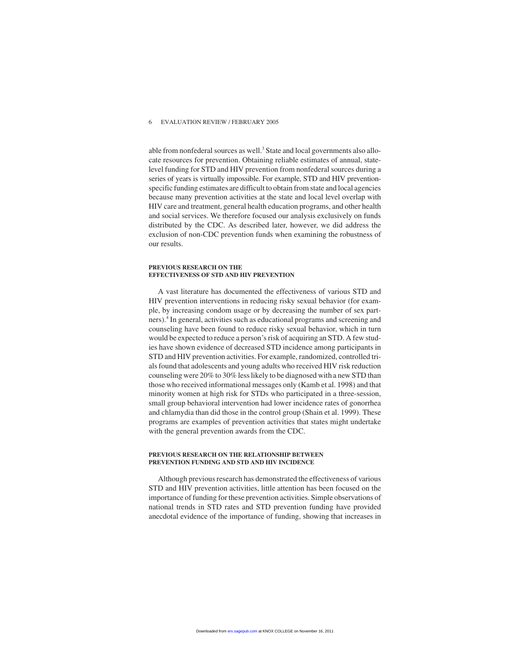#### 6 EVALUATION REVIEW / FEBRUARY 2005

able from nonfederal sources as well.<sup>3</sup> State and local governments also allocate resources for prevention. Obtaining reliable estimates of annual, statelevel funding for STD and HIV prevention from nonfederal sources during a series of years is virtually impossible. For example, STD and HIV preventionspecific funding estimates are difficult to obtain from state and local agencies because many prevention activities at the state and local level overlap with HIV care and treatment, general health education programs, and other health and social services. We therefore focused our analysis exclusively on funds distributed by the CDC. As described later, however, we did address the exclusion of non-CDC prevention funds when examining the robustness of our results.

### **PREVIOUS RESEARCH ON THE EFFECTIVENESS OF STD AND HIV PREVENTION**

A vast literature has documented the effectiveness of various STD and HIV prevention interventions in reducing risky sexual behavior (for example, by increasing condom usage or by decreasing the number of sex partners).4 In general, activities such as educational programs and screening and counseling have been found to reduce risky sexual behavior, which in turn would be expected to reduce a person's risk of acquiring an STD. A few studies have shown evidence of decreased STD incidence among participants in STD and HIV prevention activities. For example, randomized, controlled trials found that adolescents and young adults who received HIV risk reduction counseling were 20% to 30% less likely to be diagnosed with a new STD than those who received informational messages only (Kamb et al. 1998) and that minority women at high risk for STDs who participated in a three-session, small group behavioral intervention had lower incidence rates of gonorrhea and chlamydia than did those in the control group (Shain et al. 1999). These programs are examples of prevention activities that states might undertake with the general prevention awards from the CDC.

### **PREVIOUS RESEARCH ON THE RELATIONSHIP BETWEEN PREVENTION FUNDING AND STD AND HIV INCIDENCE**

Although previous research has demonstrated the effectiveness of various STD and HIV prevention activities, little attention has been focused on the importance of funding for these prevention activities. Simple observations of national trends in STD rates and STD prevention funding have provided anecdotal evidence of the importance of funding, showing that increases in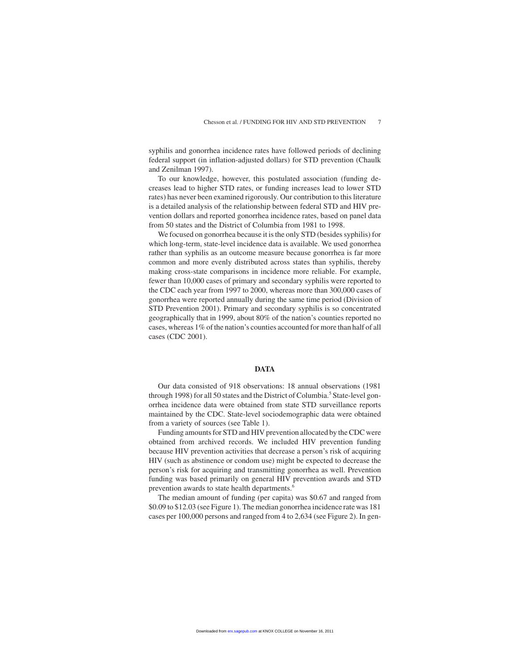syphilis and gonorrhea incidence rates have followed periods of declining federal support (in inflation-adjusted dollars) for STD prevention (Chaulk and Zenilman 1997).

To our knowledge, however, this postulated association (funding decreases lead to higher STD rates, or funding increases lead to lower STD rates) has never been examined rigorously. Our contribution to this literature is a detailed analysis of the relationship between federal STD and HIV prevention dollars and reported gonorrhea incidence rates, based on panel data from 50 states and the District of Columbia from 1981 to 1998.

We focused on gonorrhea because it is the only STD (besides syphilis) for which long-term, state-level incidence data is available. We used gonorrhea rather than syphilis as an outcome measure because gonorrhea is far more common and more evenly distributed across states than syphilis, thereby making cross-state comparisons in incidence more reliable. For example, fewer than 10,000 cases of primary and secondary syphilis were reported to the CDC each year from 1997 to 2000, whereas more than 300,000 cases of gonorrhea were reported annually during the same time period (Division of STD Prevention 2001). Primary and secondary syphilis is so concentrated geographically that in 1999, about 80% of the nation's counties reported no cases, whereas 1% of the nation's counties accounted for more than half of all cases (CDC 2001).

# **DATA**

Our data consisted of 918 observations: 18 annual observations (1981 through 1998) for all 50 states and the District of Columbia.<sup>5</sup> State-level gonorrhea incidence data were obtained from state STD surveillance reports maintained by the CDC. State-level sociodemographic data were obtained from a variety of sources (see Table 1).

Funding amounts for STD and HIV prevention allocated by the CDC were obtained from archived records. We included HIV prevention funding because HIV prevention activities that decrease a person's risk of acquiring HIV (such as abstinence or condom use) might be expected to decrease the person's risk for acquiring and transmitting gonorrhea as well. Prevention funding was based primarily on general HIV prevention awards and STD prevention awards to state health departments.<sup>6</sup>

The median amount of funding (per capita) was \$0.67 and ranged from \$0.09 to \$12.03 (see Figure 1). The median gonorrhea incidence rate was 181 cases per 100,000 persons and ranged from 4 to 2,634 (see Figure 2). In gen-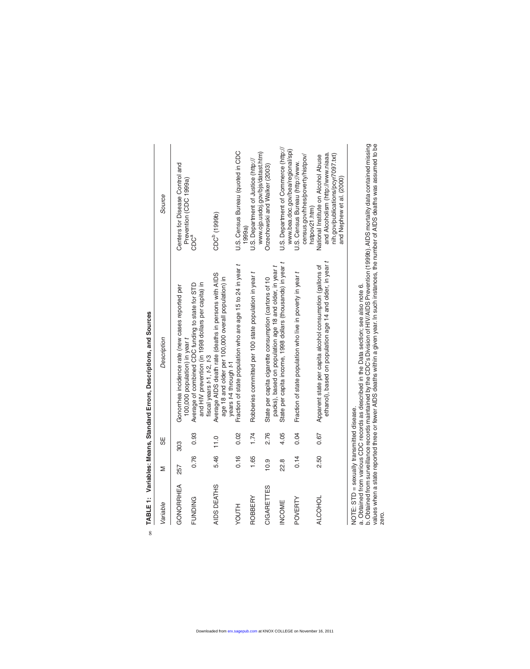|                                                   |      |      | indication of the contract of the contract of the control of the control of the control of the control of the control of the control of the control of the control of the control of the control of the control of the control                                                                                                                                                         |                                                                                                                                                            |
|---------------------------------------------------|------|------|----------------------------------------------------------------------------------------------------------------------------------------------------------------------------------------------------------------------------------------------------------------------------------------------------------------------------------------------------------------------------------------|------------------------------------------------------------------------------------------------------------------------------------------------------------|
| Variable                                          | Σ    | 59   | Description                                                                                                                                                                                                                                                                                                                                                                            | Source                                                                                                                                                     |
| GONORRHEA                                         | 257  | 303  | Gonorrhea incidence rate (new cases reported per<br>100,000 population) in year                                                                                                                                                                                                                                                                                                        | Centers for Disease Control and<br>Prevention (CDC 1999a)                                                                                                  |
| <b>FUNDING</b>                                    | 0.76 | 0.93 | and HIV prevention (in 1998 dollars per capita) in<br>Average of combined CDC funding to state for STD                                                                                                                                                                                                                                                                                 | ო<br>ეე                                                                                                                                                    |
| AIDS DEATHS                                       | 5.46 | 11.0 | Average AIDS death rate (deaths in persons with AIDS<br>age 18 and older per 100,000 overall population) in<br>fiscal years t-1, t-2, t-3                                                                                                                                                                                                                                              | $CDCb$ (1999b)                                                                                                                                             |
| <b>HLINOX</b>                                     | 0.16 | 0.02 | Fraction of state population who are age 15 to 24 in year t<br>years t-4 through t-1                                                                                                                                                                                                                                                                                                   | U.S. Census Bureau (quoted in CDC<br>1999a                                                                                                                 |
| ROBBERY                                           | 1.65 | 1.74 | Robberies committed per 100 state population in year t                                                                                                                                                                                                                                                                                                                                 | U.S. Department of Justice (http://                                                                                                                        |
| CIGARETTES                                        | 10.9 | 2.76 | State per capita cigarette consumption (cartons of 10                                                                                                                                                                                                                                                                                                                                  | www.ojp.usdoj.gov/bjs/datast.htm)<br>Orzechowski and Walker (2003                                                                                          |
| INCOME                                            | 22.8 | 4.05 | State per capita income, 1998 dollars (thousands) in year t<br>packs), based on population age 18 and older, in year t                                                                                                                                                                                                                                                                 | U.S. Department of Commerce (http://                                                                                                                       |
| POVERTY                                           | 0.14 | 0.04 | Fraction of state population who live in poverty in year t                                                                                                                                                                                                                                                                                                                             | www.bea.doc.gov/bea/regional/spi)<br>census.gov/hhes/poverty/histpov/<br>U.S. Census Bureau (http://www.                                                   |
| ALCOHOL                                           | 2.50 | 0.67 | ethanol), based on population age 14 and older, in year<br>Apparent state per capita alcohol consumption (gallons of                                                                                                                                                                                                                                                                   | and Alcoholism (http://www.niaaa.<br>nih.gov/publications/pcyr7097.txt)<br>National Institute on Alcohol Abuse<br>and Nephew et al. (2000<br>hstpov21.htm) |
| NOTE: STD = sexually transmitted disease<br>zero. |      |      | b. Obtained from surveillance records maintained by the CDC's Division of HIV/AIDS Prevention (1999b). AIDS mortality data contained missing<br>values when a state reported three or fewer AIDS deaths within a given year. In such instances, the number of AIDS deaths was assumed to be<br>a. Obtained from various CDC records as described in the Data section; see also note 6. |                                                                                                                                                            |

TABLE 1: Variables: Means. Standard Errors. Descriptions. and Sources 8**TABLE 1: Variables: Means, Standard Errors, Descriptions, and Sources**  $\overline{8}$ 

Downloaded from [erx.sagepub.com](http://erx.sagepub.com/) at KNOX COLLEGE on November 16, 2011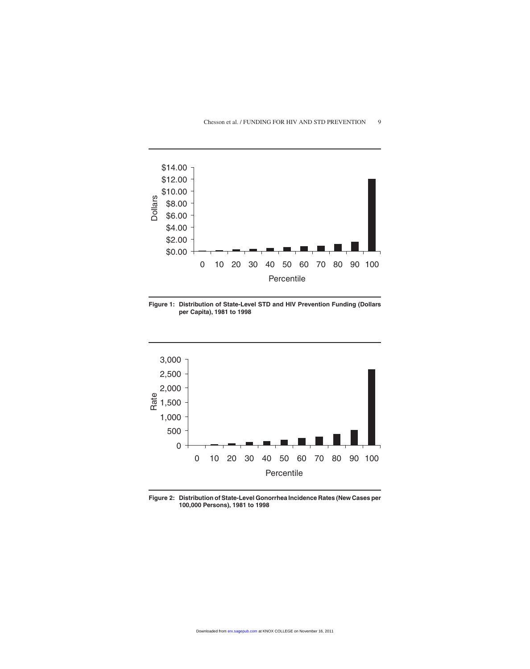

**Figure 1: Distribution of State-Level STD and HIV Prevention Funding (Dollars per Capita), 1981 to 1998**



**Figure 2: Distribution of State-Level Gonorrhea Incidence Rates (New Cases per 100,000 Persons), 1981 to 1998**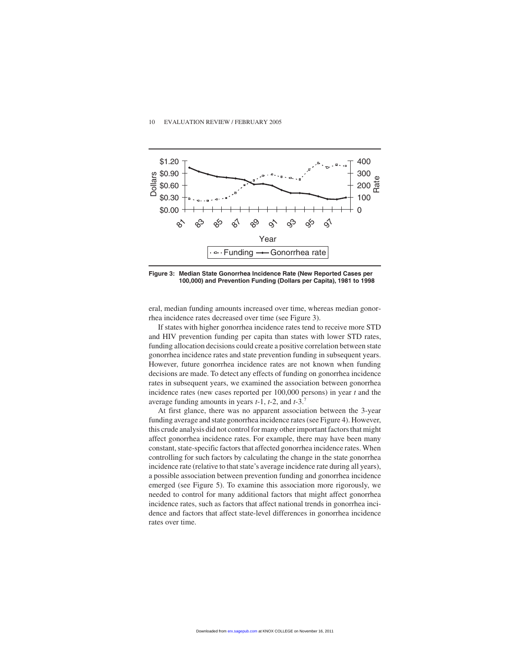

**Figure 3: Median State Gonorrhea Incidence Rate (New Reported Cases per 100,000) and Prevention Funding (Dollars per Capita), 1981 to 1998**

eral, median funding amounts increased over time, whereas median gonorrhea incidence rates decreased over time (see Figure 3).

If states with higher gonorrhea incidence rates tend to receive more STD and HIV prevention funding per capita than states with lower STD rates, funding allocation decisions could create a positive correlation between state gonorrhea incidence rates and state prevention funding in subsequent years. However, future gonorrhea incidence rates are not known when funding decisions are made. To detect any effects of funding on gonorrhea incidence rates in subsequent years, we examined the association between gonorrhea incidence rates (new cases reported per 100,000 persons) in year *t* and the average funding amounts in years *t*-1, *t*-2, and *t*-3.7

At first glance, there was no apparent association between the 3-year funding average and state gonorrhea incidence rates (see Figure 4). However, this crude analysis did not control for many other important factors that might affect gonorrhea incidence rates. For example, there may have been many constant, state-specific factors that affected gonorrhea incidence rates. When controlling for such factors by calculating the change in the state gonorrhea incidence rate (relative to that state's average incidence rate during all years), a possible association between prevention funding and gonorrhea incidence emerged (see Figure 5). To examine this association more rigorously, we needed to control for many additional factors that might affect gonorrhea incidence rates, such as factors that affect national trends in gonorrhea incidence and factors that affect state-level differences in gonorrhea incidence rates over time.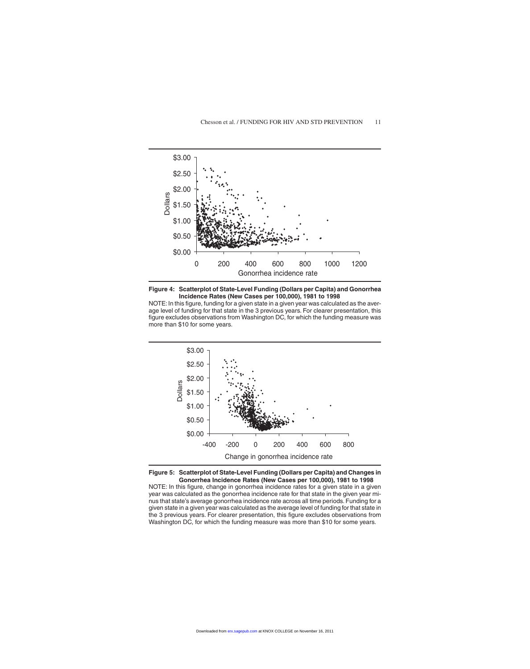



*NOTE: In this figure, funding for a given state in a given year was calculated as the average level of funding for that state in the 3 previous years. For clearer presentation, this figure excludes observations from Washington DC, for which the funding measure was more than \$10 for some years.*





*NOTE: In this figure, change in gonorrhea incidence rates for a given state in a given year was calculated as the gonorrhea incidence rate for that state in the given year minus that state's average gonorrhea incidence rate across all time periods. Funding for a given state in a given year was calculated as the average level of funding for that state in the 3 previous years. For clearer presentation, this figure excludes observations from Washington DC, for which the funding measure was more than \$10 for some years.*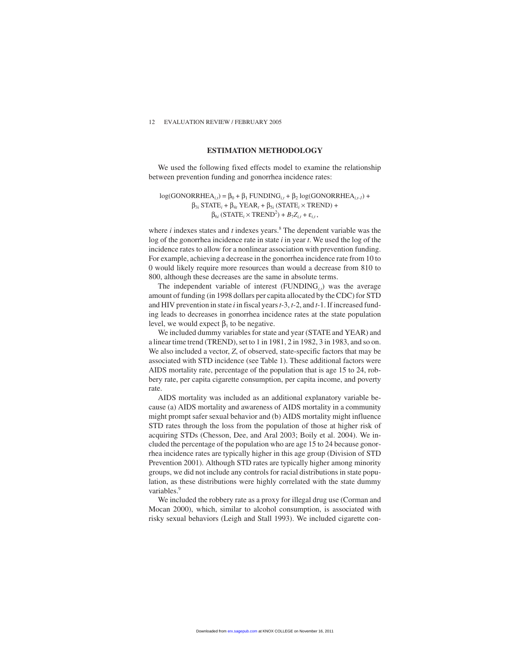## **ESTIMATION METHODOLOGY**

We used the following fixed effects model to examine the relationship between prevention funding and gonorrhea incidence rates:

 $log(GONORRHEA_{i,t}) = \beta_0 + \beta_1$  FUNDING<sub>it</sub> + β<sub>2</sub> log(GONORRHEA<sub>it-1</sub>) +  $\beta_{3i}$  STATE<sub>*i*</sub> +  $\beta_{4i}$  YEAR<sub>*t*</sub> +  $\beta_{5i}$  (STATE<sub>*i*</sub> × TREND) +  $\beta_{6i}$  (STATE<sub>i</sub> × TREND<sup>2</sup>) +  $B_7Z_{i,t}$  +  $\varepsilon_{i,t}$ ,

where  $i$  indexes states and  $t$  indexes years.<sup>8</sup> The dependent variable was the log of the gonorrhea incidence rate in state *i* in year *t*. We used the log of the incidence rates to allow for a nonlinear association with prevention funding. For example, achieving a decrease in the gonorrhea incidence rate from 10 to 0 would likely require more resources than would a decrease from 810 to 800, although these decreases are the same in absolute terms.

The independent variable of interest  $(FUNDING_{i,t})$  was the average amount of funding (in 1998 dollars per capita allocated by the CDC) for STD and HIV prevention in state *i* in fiscal years*t*-3, *t*-2, and *t*-1. If increased funding leads to decreases in gonorrhea incidence rates at the state population level, we would expect  $β_1$  to be negative.

We included dummy variables for state and year (STATE and YEAR) and a linear time trend (TREND), set to 1 in 1981, 2 in 1982, 3 in 1983, and so on. We also included a vector, *Z*, of observed, state-specific factors that may be associated with STD incidence (see Table 1). These additional factors were AIDS mortality rate, percentage of the population that is age 15 to 24, robbery rate, per capita cigarette consumption, per capita income, and poverty rate.

AIDS mortality was included as an additional explanatory variable because (a) AIDS mortality and awareness of AIDS mortality in a community might prompt safer sexual behavior and (b) AIDS mortality might influence STD rates through the loss from the population of those at higher risk of acquiring STDs (Chesson, Dee, and Aral 2003; Boily et al. 2004). We included the percentage of the population who are age 15 to 24 because gonorrhea incidence rates are typically higher in this age group (Division of STD Prevention 2001). Although STD rates are typically higher among minority groups, we did not include any controls for racial distributions in state population, as these distributions were highly correlated with the state dummy variables.<sup>9</sup>

We included the robbery rate as a proxy for illegal drug use (Corman and Mocan 2000), which, similar to alcohol consumption, is associated with risky sexual behaviors (Leigh and Stall 1993). We included cigarette con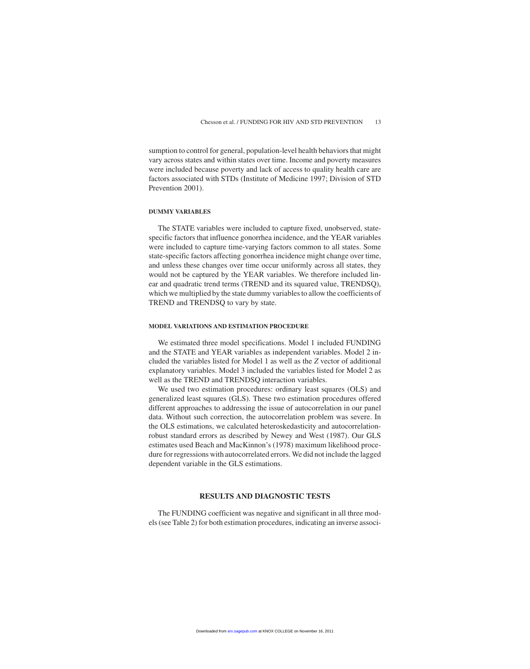sumption to control for general, population-level health behaviors that might vary across states and within states over time. Income and poverty measures were included because poverty and lack of access to quality health care are factors associated with STDs (Institute of Medicine 1997; Division of STD Prevention 2001).

### **DUMMY VARIABLES**

The STATE variables were included to capture fixed, unobserved, statespecific factors that influence gonorrhea incidence, and the YEAR variables were included to capture time-varying factors common to all states. Some state-specific factors affecting gonorrhea incidence might change over time, and unless these changes over time occur uniformly across all states, they would not be captured by the YEAR variables. We therefore included linear and quadratic trend terms (TREND and its squared value, TRENDSQ), which we multiplied by the state dummy variables to allow the coefficients of TREND and TRENDSQ to vary by state.

#### **MODEL VARIATIONS AND ESTIMATION PROCEDURE**

We estimated three model specifications. Model 1 included FUNDING and the STATE and YEAR variables as independent variables. Model 2 included the variables listed for Model 1 as well as the *Z* vector of additional explanatory variables. Model 3 included the variables listed for Model 2 as well as the TREND and TRENDSQ interaction variables.

We used two estimation procedures: ordinary least squares (OLS) and generalized least squares (GLS). These two estimation procedures offered different approaches to addressing the issue of autocorrelation in our panel data. Without such correction, the autocorrelation problem was severe. In the OLS estimations, we calculated heteroskedasticity and autocorrelationrobust standard errors as described by Newey and West (1987). Our GLS estimates used Beach and MacKinnon's (1978) maximum likelihood procedure for regressions with autocorrelated errors. We did not include the lagged dependent variable in the GLS estimations.

# **RESULTS AND DIAGNOSTIC TESTS**

The FUNDING coefficient was negative and significant in all three models (see Table 2) for both estimation procedures, indicating an inverse associ-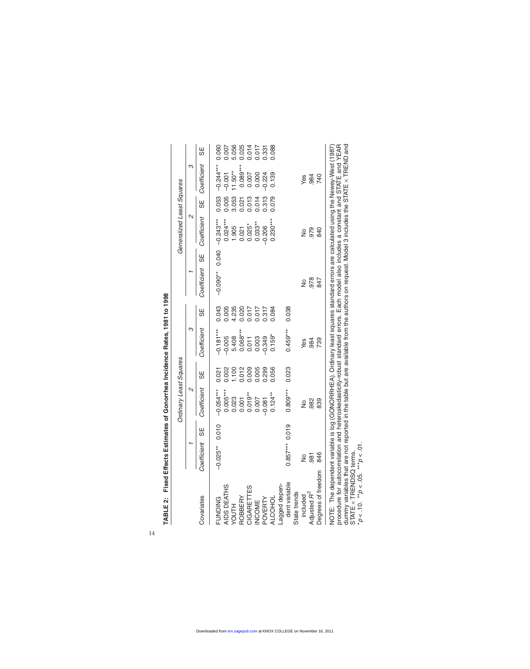|                                                                                                                                    |                     | <b>Drdinary Least Squares</b>                                                                                                                                                                                                       |                                                                                             |                                                                                                                                                                                                                                                                       |                                                        |             |       | Generalized Least Squares                                     |                                         |                      |                                                   |
|------------------------------------------------------------------------------------------------------------------------------------|---------------------|-------------------------------------------------------------------------------------------------------------------------------------------------------------------------------------------------------------------------------------|---------------------------------------------------------------------------------------------|-----------------------------------------------------------------------------------------------------------------------------------------------------------------------------------------------------------------------------------------------------------------------|--------------------------------------------------------|-------------|-------|---------------------------------------------------------------|-----------------------------------------|----------------------|---------------------------------------------------|
|                                                                                                                                    |                     | Z                                                                                                                                                                                                                                   |                                                                                             | ო                                                                                                                                                                                                                                                                     |                                                        |             |       | N                                                             |                                         | ω                    |                                                   |
| Covariates                                                                                                                         | 58<br>Coefficient   | Coefficient                                                                                                                                                                                                                         | 58                                                                                          | Coefficient                                                                                                                                                                                                                                                           | 59                                                     | Coefficient | 9S    | Coefficient                                                   | မ္ဟ                                     | Coefficient          | 58                                                |
| <b>FUNDING</b>                                                                                                                     | 0.010<br>$-0.025**$ | $-0.054***$                                                                                                                                                                                                                         | 0.021                                                                                       | $-0.181***$                                                                                                                                                                                                                                                           | 0.043                                                  | $-0.090**$  | 0.040 | $-0.243***$                                                   | 0.053                                   | $-0.244***$          | 0.060                                             |
| AIDS DEATHS                                                                                                                        |                     |                                                                                                                                                                                                                                     |                                                                                             |                                                                                                                                                                                                                                                                       |                                                        |             |       |                                                               |                                         | $-0.001$             |                                                   |
| <b>HINON</b>                                                                                                                       |                     |                                                                                                                                                                                                                                     |                                                                                             |                                                                                                                                                                                                                                                                       |                                                        |             |       |                                                               |                                         | $11.50**$            |                                                   |
| ROBBERY                                                                                                                            |                     | $\begin{array}{l} \texttt{0.05}^{\ast\ast} \\ \texttt{0.023} \\ \texttt{0.027} \\ \texttt{0.01} \\ \texttt{0.01} \\ \texttt{0.02} \\ \texttt{0.03} \\ \texttt{0.04} \\ \texttt{0.04} \\ \texttt{0.04} \\ \texttt{0.04} \end{array}$ | $\begin{array}{l} 0.02 \\ 0.01 \\ 0.000 \\ 0.000 \\ 0.000 \\ 0.000 \\ 0.000 \\ \end{array}$ | $\begin{array}{l} 0.008\\0.008\\0.008\\0.009\\0.0000\\0.0000\\0.0000\\0.0000\\0.0000\\0.0000\\0.0000\\0.0000\\0.0000\\0.0000\\0.0000\\0.0000\\0.0000\\0.0000\\0.0000\\0.0000\\0.0000\\0.0000\\0.0000\\0.0000\\0.0000\\0.0000\\0.0000\\0.0000\\0.0000\\0.0000\\0.0000$ | 0.005<br>4.00017<br>0.017<br>0.017<br>0.0000<br>0.0000 |             |       | $24$<br>$095$<br>$-0.025$<br>$-0.035$<br>$-0.035$<br>$-0.035$ | 0053<br>0.053<br>0.053<br>0.053<br>0.00 |                      | 007<br>5.056<br>5.0217<br>5.000<br>0.000<br>0.000 |
| CIGARETTES                                                                                                                         |                     |                                                                                                                                                                                                                                     |                                                                                             |                                                                                                                                                                                                                                                                       |                                                        |             |       |                                                               |                                         |                      |                                                   |
| <b>INCOME</b>                                                                                                                      |                     |                                                                                                                                                                                                                                     |                                                                                             |                                                                                                                                                                                                                                                                       |                                                        |             |       |                                                               |                                         | $0.089***0.0070.000$ |                                                   |
| POVERTY                                                                                                                            |                     |                                                                                                                                                                                                                                     |                                                                                             |                                                                                                                                                                                                                                                                       |                                                        |             |       | 0.206                                                         |                                         | $-0.224$             |                                                   |
| ALCOHOI                                                                                                                            |                     |                                                                                                                                                                                                                                     |                                                                                             |                                                                                                                                                                                                                                                                       |                                                        |             |       | $0.230***$                                                    | 0.079                                   | 0.139                |                                                   |
| Lagged depen                                                                                                                       |                     |                                                                                                                                                                                                                                     |                                                                                             |                                                                                                                                                                                                                                                                       |                                                        |             |       |                                                               |                                         |                      |                                                   |
| dent variable                                                                                                                      | $0.857***$ 0.019    | $0.809***$                                                                                                                                                                                                                          | 0.023                                                                                       | $0.459***$                                                                                                                                                                                                                                                            | 0.038                                                  |             |       |                                                               |                                         |                      |                                                   |
| State trends                                                                                                                       |                     |                                                                                                                                                                                                                                     |                                                                                             |                                                                                                                                                                                                                                                                       |                                                        |             |       |                                                               |                                         |                      |                                                   |
| included                                                                                                                           | $\frac{1}{2}$       | ş                                                                                                                                                                                                                                   |                                                                                             | Yes                                                                                                                                                                                                                                                                   |                                                        | ş           |       | $\frac{1}{2}$                                                 |                                         | Yes                  |                                                   |
| Adjusted R <sup>2</sup>                                                                                                            | .981                | 982                                                                                                                                                                                                                                 |                                                                                             | 88<br>789                                                                                                                                                                                                                                                             |                                                        | .978        |       | 979<br>840                                                    |                                         | .984<br>740          |                                                   |
| Degrees of freedom                                                                                                                 | 846                 | 839                                                                                                                                                                                                                                 |                                                                                             |                                                                                                                                                                                                                                                                       |                                                        | 847         |       |                                                               |                                         |                      |                                                   |
| NOTE: The dependent variable is log (GONORRHEA). Ordinary least squares standard errors are calculated using the Newey-West (1987) |                     |                                                                                                                                                                                                                                     |                                                                                             |                                                                                                                                                                                                                                                                       |                                                        |             |       |                                                               |                                         |                      |                                                   |

TABLE 2: Fixed Effects Estimates of Gonorrhea Incidence Rates, 1981 to 1998 **TABLE 2: Fixed Effects Estimates of Gonorrhea Incidence Rates, 1981 to 1998**

procedure for autocorrelation and heteroskedasticity-robust standard errors. Each model also includes a constant and STATE and YEAR dummy variables that are not reported in the table but are available from the authors on request. Model 3 includes the STATE  $\times$  TREND and *STATE* × *TRENDSQ terms. \*p < .10. \*\* < .05. \*\*\* p < .01.*

*p*

Downloaded from [erx.sagepub.com](http://erx.sagepub.com/) at KNOX COLLEGE on November 16, 2011

14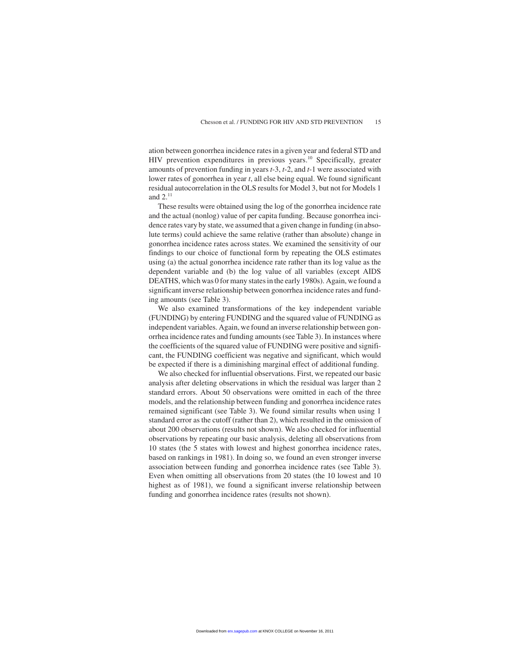ation between gonorrhea incidence rates in a given year and federal STD and HIV prevention expenditures in previous years.<sup>10</sup> Specifically, greater amounts of prevention funding in years *t*-3, *t*-2, and *t*-1 were associated with lower rates of gonorrhea in year *t*, all else being equal. We found significant residual autocorrelation in the OLS results for Model 3, but not for Models 1 and  $2.^{11}$ 

These results were obtained using the log of the gonorrhea incidence rate and the actual (nonlog) value of per capita funding. Because gonorrhea incidence rates vary by state, we assumed that a given change in funding (in absolute terms) could achieve the same relative (rather than absolute) change in gonorrhea incidence rates across states. We examined the sensitivity of our findings to our choice of functional form by repeating the OLS estimates using (a) the actual gonorrhea incidence rate rather than its log value as the dependent variable and (b) the log value of all variables (except AIDS DEATHS, which was 0 for many states in the early 1980s). Again, we found a significant inverse relationship between gonorrhea incidence rates and funding amounts (see Table 3).

We also examined transformations of the key independent variable (FUNDING) by entering FUNDING and the squared value of FUNDING as independent variables. Again, we found an inverse relationship between gonorrhea incidence rates and funding amounts (see Table 3). In instances where the coefficients of the squared value of FUNDING were positive and significant, the FUNDING coefficient was negative and significant, which would be expected if there is a diminishing marginal effect of additional funding.

We also checked for influential observations. First, we repeated our basic analysis after deleting observations in which the residual was larger than 2 standard errors. About 50 observations were omitted in each of the three models, and the relationship between funding and gonorrhea incidence rates remained significant (see Table 3). We found similar results when using 1 standard error as the cutoff (rather than 2), which resulted in the omission of about 200 observations (results not shown). We also checked for influential observations by repeating our basic analysis, deleting all observations from 10 states (the 5 states with lowest and highest gonorrhea incidence rates, based on rankings in 1981). In doing so, we found an even stronger inverse association between funding and gonorrhea incidence rates (see Table 3). Even when omitting all observations from 20 states (the 10 lowest and 10 highest as of 1981), we found a significant inverse relationship between funding and gonorrhea incidence rates (results not shown).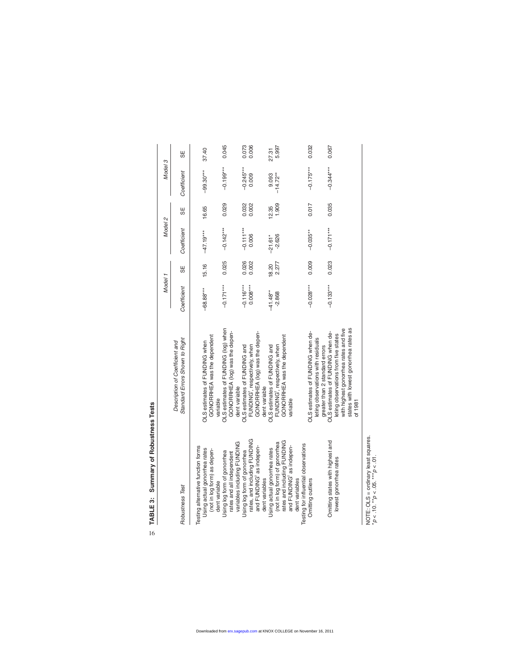| 5<br>í                   |
|--------------------------|
| ľ                        |
| $\ddot{\circ}$<br>L<br>č |
| 1<br>t<br>۱              |

|                                                          |                                                                                | Model 1     |       | Model 2     |       | Model 3     |       |
|----------------------------------------------------------|--------------------------------------------------------------------------------|-------------|-------|-------------|-------|-------------|-------|
| Robustness Test                                          | Standard Errors Shown to Right<br>Description of Coefficient and               | Coefficient | 95    | Coefficient | 56    | Coefficient | 58    |
| Testing alternative function forms                       |                                                                                |             |       |             |       |             |       |
| Using actual gonorrhea rates                             | OLS estimates of FUNDING when                                                  | $-68.88***$ | 15.16 | $-47.19***$ | 16.65 | $-99.30***$ | 37.40 |
| (not in log form) as depen-<br>dent variable             | GONORRHEA was the dependent<br>variable                                        |             |       |             |       |             |       |
| Jsing log form of gonorrhea                              | OLS estimates of FUNDING (log) when                                            | $-0.171***$ | 0.025 | $-0.142***$ | 0.029 | $-0.199***$ | 0.045 |
| variables including FUNDING<br>rates and all independent | GONORRHEA (log) was the depen-<br>dent variable                                |             |       |             |       |             |       |
| Jsing log form of gonorrhea                              | OLS estimates of FUNDING and                                                   | $-0.116***$ | 0.026 | $-0.111***$ | 0.032 | $-0.245***$ | 0.073 |
| rates, and including FUNDING                             | FUNDING <sup>2</sup> , respectively, when                                      | $0.008***$  | 0.002 | 0.006       | 0.002 | 0.009       | 0.006 |
| and FUNDING <sup>2</sup> as indepen-                     | GONORRHEA (log) was the depen-                                                 |             |       |             |       |             |       |
| dent variables                                           | dent variable                                                                  |             |       |             |       |             |       |
| Using actual gonorrhea rates                             | OLS estimates of FUNDING and                                                   | $-41.48**$  | 18.20 | $-21.61*$   | 12.35 | 9.093       | 27.31 |
| (not in log form) of gonorrhea                           | FUNDING <sup>2</sup> , respectively, when                                      | $-2.868$    | 2.277 | $-2.626$    | 1.909 | $-14.72**$  | 5.997 |
| rates and including FUNDING                              | GONORRHEA was the dependent                                                    |             |       |             |       |             |       |
| and FUNDING <sup>2</sup> as indepen-                     | variable                                                                       |             |       |             |       |             |       |
| dent variables                                           |                                                                                |             |       |             |       |             |       |
| Testing for influential observations                     |                                                                                |             |       |             |       |             |       |
| Omitting outliers                                        | OLS estimates of FUNDING when de-                                              | $-0.028***$ | 0.009 | $-0.035***$ | 0.017 | $-0.175***$ | 0.032 |
|                                                          | leting observations with residuals                                             |             |       |             |       |             |       |
|                                                          | greater than 2 standard errors                                                 |             |       |             |       |             |       |
| Omitting states with highest and                         | OLS estimates of FUNDING when de-                                              | $-0.133***$ | 0.023 | $-0.171***$ | 0.035 | $-0.344***$ | 0.067 |
| lowest gonorrhea rates                                   | leting observations from five states                                           |             |       |             |       |             |       |
|                                                          | states with lowest gonorrhea rates as<br>with highest gonorrhea rates and five |             |       |             |       |             |       |
|                                                          | of 1981                                                                        |             |       |             |       |             |       |
| NOTE: $OLS =$ ordinary least squares                     |                                                                                |             |       |             |       |             |       |

*NOTE: OLS = ordinary least squares.* NOI E: OLS = ordinary least squargress of  $p < .10$ . \*\* $p < .05$ . \*\* $p < .01$ . *\*p < .10. \*\*p < .05. \*\*\*p < .01.*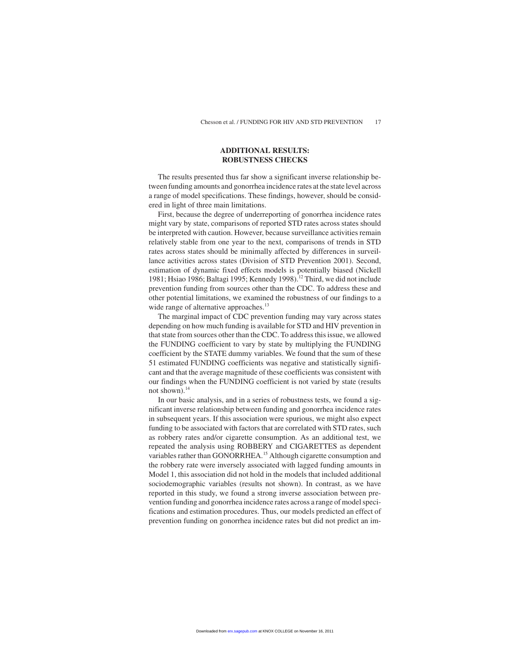# **ADDITIONAL RESULTS: ROBUSTNESS CHECKS**

The results presented thus far show a significant inverse relationship between funding amounts and gonorrhea incidence rates at the state level across a range of model specifications. These findings, however, should be considered in light of three main limitations.

First, because the degree of underreporting of gonorrhea incidence rates might vary by state, comparisons of reported STD rates across states should be interpreted with caution. However, because surveillance activities remain relatively stable from one year to the next, comparisons of trends in STD rates across states should be minimally affected by differences in surveillance activities across states (Division of STD Prevention 2001). Second, estimation of dynamic fixed effects models is potentially biased (Nickell 1981; Hsiao 1986; Baltagi 1995; Kennedy 1998).<sup>12</sup> Third, we did not include prevention funding from sources other than the CDC. To address these and other potential limitations, we examined the robustness of our findings to a wide range of alternative approaches.<sup>13</sup>

The marginal impact of CDC prevention funding may vary across states depending on how much funding is available for STD and HIV prevention in that state from sources other than the CDC. To address this issue, we allowed the FUNDING coefficient to vary by state by multiplying the FUNDING coefficient by the STATE dummy variables. We found that the sum of these 51 estimated FUNDING coefficients was negative and statistically significant and that the average magnitude of these coefficients was consistent with our findings when the FUNDING coefficient is not varied by state (results not shown).<sup>14</sup>

In our basic analysis, and in a series of robustness tests, we found a significant inverse relationship between funding and gonorrhea incidence rates in subsequent years. If this association were spurious, we might also expect funding to be associated with factors that are correlated with STD rates, such as robbery rates and/or cigarette consumption. As an additional test, we repeated the analysis using ROBBERY and CIGARETTES as dependent variables rather than GONORRHEA.<sup>15</sup> Although cigarette consumption and the robbery rate were inversely associated with lagged funding amounts in Model 1, this association did not hold in the models that included additional sociodemographic variables (results not shown). In contrast, as we have reported in this study, we found a strong inverse association between prevention funding and gonorrhea incidence rates across a range of model specifications and estimation procedures. Thus, our models predicted an effect of prevention funding on gonorrhea incidence rates but did not predict an im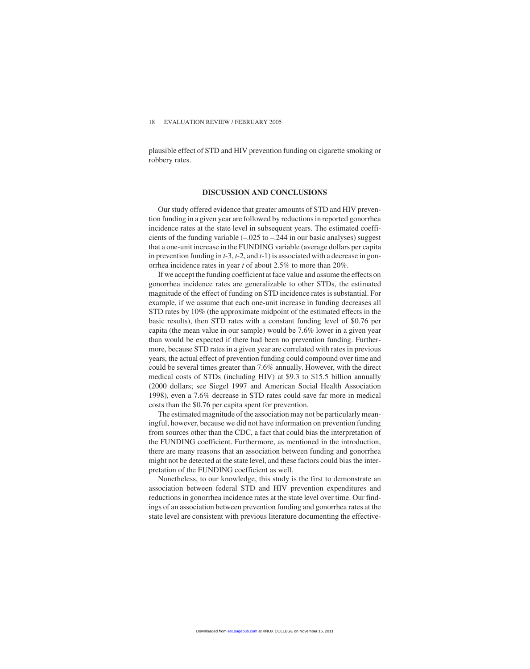plausible effect of STD and HIV prevention funding on cigarette smoking or robbery rates.

## **DISCUSSION AND CONCLUSIONS**

Our study offered evidence that greater amounts of STD and HIV prevention funding in a given year are followed by reductions in reported gonorrhea incidence rates at the state level in subsequent years. The estimated coefficients of the funding variable  $(-.025 \text{ to } -.244 \text{ in our basic analyses})$  suggest that a one-unit increase in the FUNDING variable (average dollars per capita in prevention funding in *t*-3, *t*-2, and *t*-1) is associated with a decrease in gonorrhea incidence rates in year *t* of about 2.5% to more than 20%.

If we accept the funding coefficient at face value and assume the effects on gonorrhea incidence rates are generalizable to other STDs, the estimated magnitude of the effect of funding on STD incidence rates is substantial. For example, if we assume that each one-unit increase in funding decreases all STD rates by 10% (the approximate midpoint of the estimated effects in the basic results), then STD rates with a constant funding level of \$0.76 per capita (the mean value in our sample) would be 7.6% lower in a given year than would be expected if there had been no prevention funding. Furthermore, because STD rates in a given year are correlated with rates in previous years, the actual effect of prevention funding could compound over time and could be several times greater than 7.6% annually. However, with the direct medical costs of STDs (including HIV) at \$9.3 to \$15.5 billion annually (2000 dollars; see Siegel 1997 and American Social Health Association 1998), even a 7.6% decrease in STD rates could save far more in medical costs than the \$0.76 per capita spent for prevention.

The estimated magnitude of the association may not be particularly meaningful, however, because we did not have information on prevention funding from sources other than the CDC, a fact that could bias the interpretation of the FUNDING coefficient. Furthermore, as mentioned in the introduction, there are many reasons that an association between funding and gonorrhea might not be detected at the state level, and these factors could bias the interpretation of the FUNDING coefficient as well.

Nonetheless, to our knowledge, this study is the first to demonstrate an association between federal STD and HIV prevention expenditures and reductions in gonorrhea incidence rates at the state level over time. Our findings of an association between prevention funding and gonorrhea rates at the state level are consistent with previous literature documenting the effective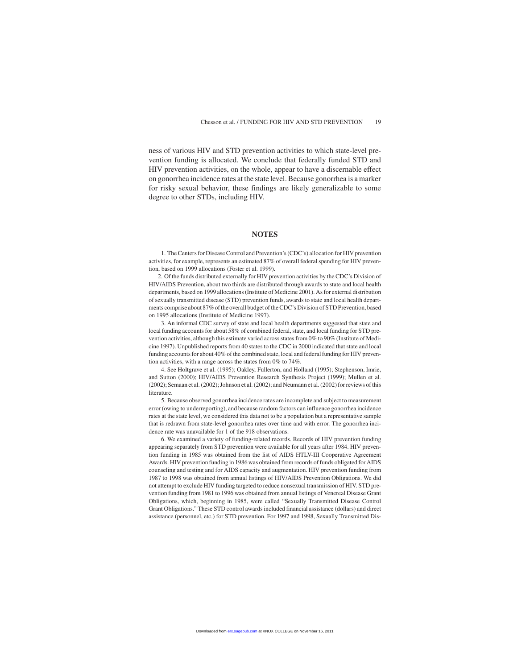ness of various HIV and STD prevention activities to which state-level prevention funding is allocated. We conclude that federally funded STD and HIV prevention activities, on the whole, appear to have a discernable effect on gonorrhea incidence rates at the state level. Because gonorrhea is a marker for risky sexual behavior, these findings are likely generalizable to some degree to other STDs, including HIV.

# **NOTES**

1. The Centers for Disease Control and Prevention's (CDC's) allocation for HIV prevention activities, for example, represents an estimated 87% of overall federal spending for HIV prevention, based on 1999 allocations (Foster et al. 1999).

2. Of the funds distributed externally for HIV prevention activities by the CDC's Division of HIV/AIDS Prevention, about two thirds are distributed through awards to state and local health departments, based on 1999 allocations (Institute of Medicine 2001). As for external distribution of sexually transmitted disease (STD) prevention funds, awards to state and local health departments comprise about 87% of the overall budget of the CDC's Division of STD Prevention, based on 1995 allocations (Institute of Medicine 1997).

3. An informal CDC survey of state and local health departments suggested that state and local funding accounts for about 58% of combined federal, state, and local funding for STD prevention activities, although this estimate varied across states from 0% to 90% (Institute of Medicine 1997). Unpublished reports from 40 states to the CDC in 2000 indicated that state and local funding accounts for about 40% of the combined state, local and federal funding for HIV prevention activities, with a range across the states from 0% to 74%.

4. See Holtgrave et al. (1995); Oakley, Fullerton, and Holland (1995); Stephenson, Imrie, and Sutton (2000); HIV/AIDS Prevention Research Synthesis Project (1999); Mullen et al. (2002); Semaan et al. (2002); Johnson et al. (2002); and Neumann et al. (2002) for reviews of this literature.

5. Because observed gonorrhea incidence rates are incomplete and subject to measurement error (owing to underreporting), and because random factors can influence gonorrhea incidence rates at the state level, we considered this data not to be a population but a representative sample that is redrawn from state-level gonorrhea rates over time and with error. The gonorrhea incidence rate was unavailable for 1 of the 918 observations.

6. We examined a variety of funding-related records. Records of HIV prevention funding appearing separately from STD prevention were available for all years after 1984. HIV prevention funding in 1985 was obtained from the list of AIDS HTLV-III Cooperative Agreement Awards. HIV prevention funding in 1986 was obtained from records of funds obligated for AIDS counseling and testing and for AIDS capacity and augmentation. HIV prevention funding from 1987 to 1998 was obtained from annual listings of HIV/AIDS Prevention Obligations. We did not attempt to exclude HIV funding targeted to reduce nonsexual transmission of HIV. STD prevention funding from 1981 to 1996 was obtained from annual listings of Venereal Disease Grant Obligations, which, beginning in 1985, were called "Sexually Transmitted Disease Control Grant Obligations." These STD control awards included financial assistance (dollars) and direct assistance (personnel, etc.) for STD prevention. For 1997 and 1998, Sexually Transmitted Dis-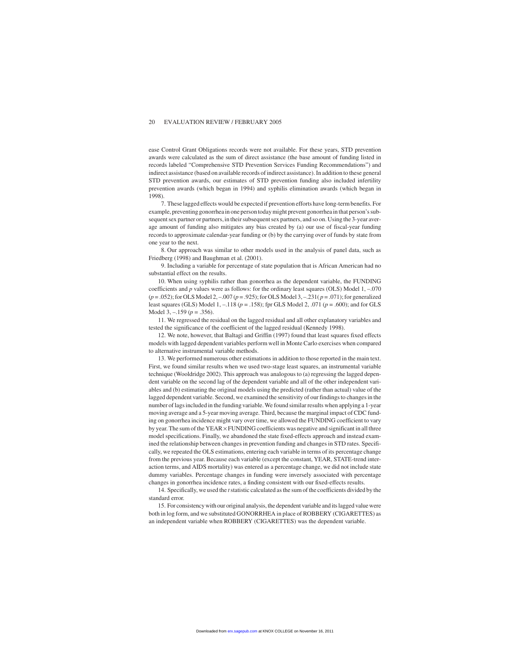#### 20 EVALUATION REVIEW / FEBRUARY 2005

ease Control Grant Obligations records were not available. For these years, STD prevention awards were calculated as the sum of direct assistance (the base amount of funding listed in records labeled "Comprehensive STD Prevention Services Funding Recommendations") and indirect assistance (based on available records of indirect assistance). In addition to these general STD prevention awards, our estimates of STD prevention funding also included infertility prevention awards (which began in 1994) and syphilis elimination awards (which began in 1998).

7. These lagged effects would be expected if prevention efforts have long-term benefits. For example, preventing gonorrhea in one person today might prevent gonorrhea in that person's subsequent sex partner or partners, in their subsequent sex partners, and so on. Using the 3-year average amount of funding also mitigates any bias created by (a) our use of fiscal-year funding records to approximate calendar-year funding or (b) by the carrying over of funds by state from one year to the next.

8. Our approach was similar to other models used in the analysis of panel data, such as Friedberg (1998) and Baughman et al. (2001).

9. Including a variable for percentage of state population that is African American had no substantial effect on the results.

10. When using syphilis rather than gonorrhea as the dependent variable, the FUNDING coefficients and *p* values were as follows: for the ordinary least squares (OLS) Model 1, –.070 (*p* = .052); for OLS Model 2, –.007 (*p* = .925); for OLS Model 3, –.231( *p* = .071); for generalized least squares (GLS) Model 1, –.118 (*p* = .158); fpr GLS Model 2, .071 (*p* = .600); and for GLS Model 3, –.159 (*p* = .356).

11. We regressed the residual on the lagged residual and all other explanatory variables and tested the significance of the coefficient of the lagged residual (Kennedy 1998).

12. We note, however, that Baltagi and Griffin (1997) found that least squares fixed effects models with lagged dependent variables perform well in Monte Carlo exercises when compared to alternative instrumental variable methods.

13. We performed numerous other estimations in addition to those reported in the main text. First, we found similar results when we used two-stage least squares, an instrumental variable technique (Wooldridge 2002). This approach was analogous to (a) regressing the lagged dependent variable on the second lag of the dependent variable and all of the other independent variables and (b) estimating the original models using the predicted (rather than actual) value of the lagged dependent variable. Second, we examined the sensitivity of our findings to changes in the number of lags included in the funding variable. We found similar results when applying a 1-year moving average and a 5-year moving average. Third, because the marginal impact of CDC funding on gonorrhea incidence might vary over time, we allowed the FUNDING coefficient to vary by year. The sum of the YEAR × FUNDING coefficients was negative and significant in all three model specifications. Finally, we abandoned the state fixed-effects approach and instead examined the relationship between changes in prevention funding and changes in STD rates. Specifically, we repeated the OLS estimations, entering each variable in terms of its percentage change from the previous year. Because each variable (except the constant, YEAR, STATE-trend interaction terms, and AIDS mortality) was entered as a percentage change, we did not include state dummy variables. Percentage changes in funding were inversely associated with percentage changes in gonorrhea incidence rates, a finding consistent with our fixed-effects results.

14. Specifically, we used the *t*statistic calculated as the sum of the coefficients divided by the standard error.

15. For consistency with our original analysis, the dependent variable and its lagged value were both in log form, and we substituted GONORRHEA in place of ROBBERY (CIGARETTES) as an independent variable when ROBBERY (CIGARETTES) was the dependent variable.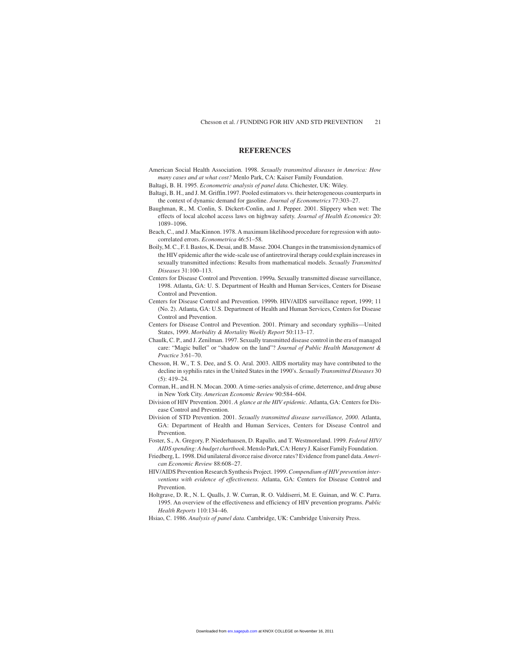## **REFERENCES**

American Social Health Association. 1998. *Sexually transmitted diseases in America: How many cases and at what cost?* Menlo Park, CA: Kaiser Family Foundation.

Baltagi, B. H. 1995. *Econometric analysis of panel data*. Chichester, UK: Wiley.

- Baltagi, B. H., and J. M. Griffin.1997. Pooled estimators vs. their heterogeneous counterparts in the context of dynamic demand for gasoline. *Journal of Econometrics* 77:303–27.
- Baughman, R., M. Conlin, S. Dickert-Conlin, and J. Pepper. 2001. Slippery when wet: The effects of local alcohol access laws on highway safety. *Journal of Health Economics* 20: 1089–1096.
- Beach, C., and J. MacKinnon. 1978. A maximum likelihood procedure for regression with autocorrelated errors. *Econometrica* 46:51–58.
- Boily, M. C., F. I. Bastos, K. Desai, and B. Masse. 2004. Changes in the transmission dynamics of the HIV epidemic after the wide-scale use of antiretroviral therapy could explain increases in sexually transmitted infections: Results from mathematical models. *Sexually Transmitted Diseases* 31:100–113.
- Centers for Disease Control and Prevention. 1999a. Sexually transmitted disease surveillance, 1998. Atlanta, GA: U. S. Department of Health and Human Services, Centers for Disease Control and Prevention.
- Centers for Disease Control and Prevention. 1999b. HIV/AIDS surveillance report, 1999; 11 (No. 2). Atlanta, GA: U.S. Department of Health and Human Services, Centers for Disease Control and Prevention.
- Centers for Disease Control and Prevention. 2001. Primary and secondary syphilis—United States, 1999. *Morbidity & Mortality Weekly Report* 50:113–17.
- Chaulk, C. P., and J. Zenilman. 1997. Sexually transmitted disease control in the era of managed care: "Magic bullet" or "shadow on the land"? *Journal of Public Health Management & Practice* 3:61–70.
- Chesson, H. W., T. S. Dee, and S. O. Aral. 2003. AIDS mortality may have contributed to the decline in syphilis rates in the United States in the 1990's. *Sexually Transmitted Diseases* 30 (5): 419–24.
- Corman, H., and H. N. Mocan. 2000. A time-series analysis of crime, deterrence, and drug abuse in New York City. *American Economic Review* 90:584–604.
- Division of HIV Prevention. 2001. *A glance at the HIV epidemic*. Atlanta, GA: Centers for Disease Control and Prevention.
- Division of STD Prevention. 2001. *Sexually transmitted disease surveillance, 2000*. Atlanta, GA: Department of Health and Human Services, Centers for Disease Control and Prevention.
- Foster, S., A. Gregory, P. Niederhausen, D. Rapallo, and T. Westmoreland. 1999. *Federal HIV/ AIDS spending: A budget chartbook*. Menslo Park, CA: Henry J. Kaiser Family Foundation.
- Friedberg, L. 1998. Did unilateral divorce raise divorce rates? Evidence from panel data. *American Economic Review* 88:608–27.
- HIV/AIDS Prevention Research Synthesis Project. 1999. *Compendium of HIV prevention interventions with evidence of effectiveness*. Atlanta, GA: Centers for Disease Control and Prevention.
- Holtgrave, D. R., N. L. Qualls, J. W. Curran, R. O. Valdiserri, M. E. Guinan, and W. C. Parra. 1995. An overview of the effectiveness and efficiency of HIV prevention programs. *Public Health Reports* 110:134–46.
- Hsiao, C. 1986. *Analysis of panel data*. Cambridge, UK: Cambridge University Press.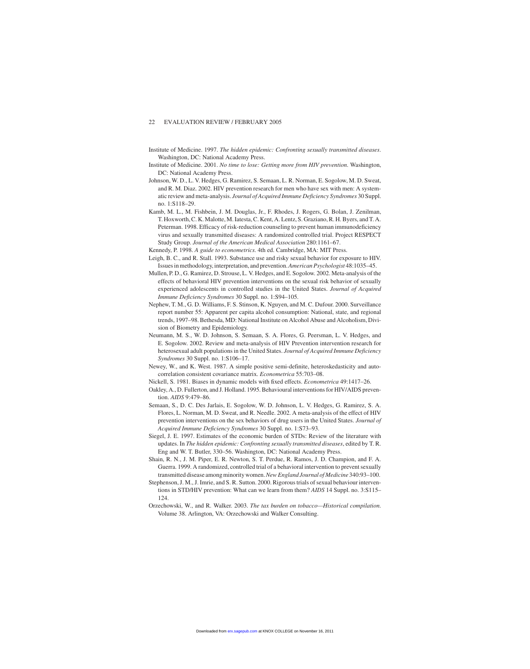- Institute of Medicine. 1997. *The hidden epidemic: Confronting sexually transmitted diseases*. Washington, DC: National Academy Press.
- Institute of Medicine. 2001. *No time to lose: Getting more from HIV prevention*. Washington, DC: National Academy Press.
- Johnson, W. D., L. V. Hedges, G. Ramirez, S. Semaan, L. R. Norman, E. Sogolow, M. D. Sweat, and R. M. Diaz. 2002. HIV prevention research for men who have sex with men: A systematic review and meta-analysis. *Journal of Acquired Immune Deficiency Syndromes* 30 Suppl. no. 1:S118–29.
- Kamb, M. L., M. Fishbein, J. M. Douglas, Jr., F. Rhodes, J. Rogers, G. Bolan, J. Zenilman, T. Hoxworth, C. K. Malotte, M. Iatesta, C. Kent, A. Lentz, S. Graziano, R. H. Byers, and T. A. Peterman. 1998. Efficacy of risk-reduction counseling to prevent human immunodeficiency virus and sexually transmitted diseases: A randomized controlled trial. Project RESPECT Study Group. *Journal of the American Medical Association* 280:1161–67.
- Kennedy, P. 1998. *A guide to econometrics*. 4th ed. Cambridge, MA: MIT Press.
- Leigh, B. C., and R. Stall. 1993. Substance use and risky sexual behavior for exposure to HIV. Issues in methodology, interpretation, and prevention.*American Psychologist* 48:1035–45.
- Mullen, P. D., G. Ramirez, D. Strouse, L. V. Hedges, and E. Sogolow. 2002. Meta-analysis of the effects of behavioral HIV prevention interventions on the sexual risk behavior of sexually experienced adolescents in controlled studies in the United States. *Journal of Acquired Immune Deficiency Syndromes* 30 Suppl. no. 1:S94–105.
- Nephew, T. M., G. D. Williams, F. S. Stinson, K. Nguyen, and M. C. Dufour. 2000. Surveillance report number 55: Apparent per capita alcohol consumption: National, state, and regional trends, 1997–98. Bethesda, MD: National Institute on Alcohol Abuse and Alcoholism, Division of Biometry and Epidemiology.
- Neumann, M. S., W. D. Johnson, S. Semaan, S. A. Flores, G. Peersman, L. V. Hedges, and E. Sogolow. 2002. Review and meta-analysis of HIV Prevention intervention research for heterosexual adult populations in the United States. *Journal of Acquired Immune Deficiency Syndromes* 30 Suppl. no. 1:S106–17.
- Newey, W., and K. West. 1987. A simple positive semi-definite, heteroskedasticity and autocorrelation consistent covariance matrix. *Econometrica* 55:703–08.
- Nickell, S. 1981. Biases in dynamic models with fixed effects. *Econometrica* 49:1417–26.
- Oakley, A., D. Fullerton, and J. Holland. 1995. Behavioural interventions for HIV/AIDS prevention. *AIDS* 9:479–86.
- Semaan, S., D. C. Des Jarlais, E. Sogolow, W. D. Johnson, L. V. Hedges, G. Ramirez, S. A. Flores, L. Norman, M. D. Sweat, and R. Needle. 2002. A meta-analysis of the effect of HIV prevention interventions on the sex behaviors of drug users in the United States. *Journal of Acquired Immune Deficiency Syndromes* 30 Suppl. no. 1:S73–93.
- Siegel, J. E. 1997. Estimates of the economic burden of STDs: Review of the literature with updates. In *The hidden epidemic: Confronting sexually transmitted diseases*, edited by T. R. Eng and W. T. Butler, 330–56. Washington, DC: National Academy Press.
- Shain, R. N., J. M. Piper, E. R. Newton, S. T. Perdue, R. Ramos, J. D. Champion, and F. A. Guerra. 1999. A randomized, controlled trial of a behavioral intervention to prevent sexually transmitted disease among minority women.*New England Journal of Medicine* 340:93–100.
- Stephenson, J. M., J. Imrie, and S. R. Sutton. 2000. Rigorous trials of sexual behaviour interventions in STD/HIV prevention: What can we learn from them? *AIDS* 14 Suppl. no. 3:S115– 124.
- Orzechowski, W., and R. Walker. 2003. *The tax burden on tobacco—Historical compilation*. Volume 38. Arlington, VA: Orzechowski and Walker Consulting.